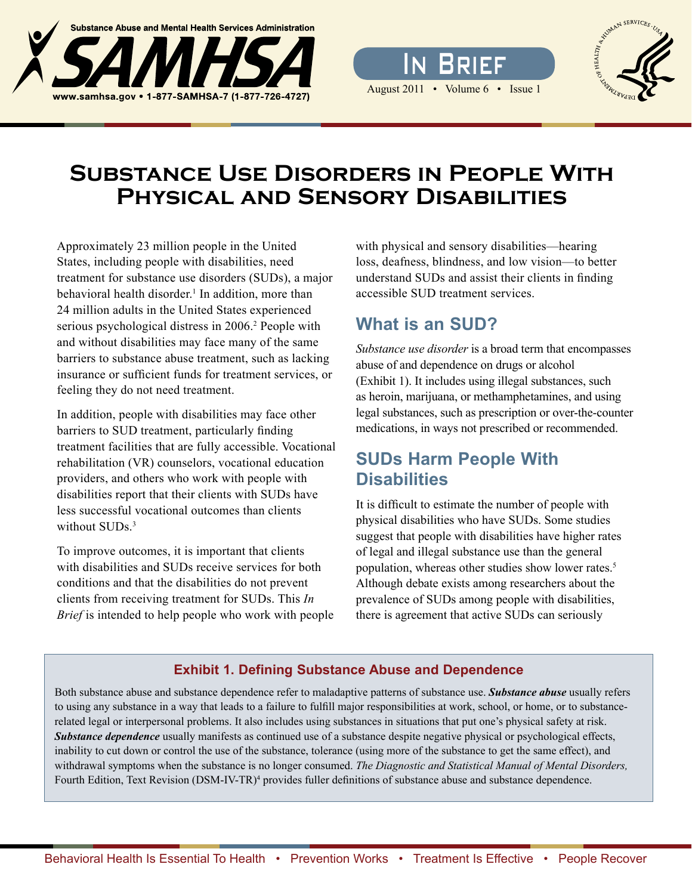



# FROMAN SERVICES.

# **Substance Use Disorders in People With Physical and Sensory Disabilities**

Approximately 23 million people in the United States, including people with disabilities, need treatment for substance use disorders (SUDs), a major behavioral health disorder.<sup>1</sup> In addition, more than 24 million adults in the United States experienced serious psychological distress in 2006.<sup>2</sup> People with and without disabilities may face many of the same barriers to substance abuse treatment, such as lacking insurance or sufficient funds for treatment services, or feeling they do not need treatment.

In addition, people with disabilities may face other barriers to SUD treatment, particularly finding treatment facilities that are fully accessible. Vocational rehabilitation (VR) counselors, vocational education providers, and others who work with people with disabilities report that their clients with SUDs have less successful vocational outcomes than clients without  $SIIDs<sup>3</sup>$ 

To improve outcomes, it is important that clients with disabilities and SUDs receive services for both conditions and that the disabilities do not prevent clients from receiving treatment for SUDs. This *In Brief* is intended to help people who work with people with physical and sensory disabilities—hearing loss, deafness, blindness, and low vision—to better understand SUDs and assist their clients in finding accessible SUD treatment services.

# **What is an SUD?**

*Substance use disorder* is a broad term that encompasses abuse of and dependence on drugs or alcohol (Exhibit 1). It includes using illegal substances, such as heroin, marijuana, or methamphetamines, and using legal substances, such as prescription or over-the-counter medications, in ways not prescribed or recommended.

# **SUDs Harm People With Disabilities**

It is difficult to estimate the number of people with physical disabilities who have SUDs. Some studies suggest that people with disabilities have higher rates of legal and illegal substance use than the general population, whereas other studies show lower rates.<sup>5</sup> Although debate exists among researchers about the prevalence of SUDs among people with disabilities, there is agreement that active SUDs can seriously

### **Exhibit 1. Defining Substance Abuse and Dependence**

Both substance abuse and substance dependence refer to maladaptive patterns of substance use. *Substance abuse* usually refers to using any substance in a way that leads to a failure to fulfill major responsibilities at work, school, or home, or to substancerelated legal or interpersonal problems. It also includes using substances in situations that put one's physical safety at risk. *Substance dependence* usually manifests as continued use of a substance despite negative physical or psychological effects, inability to cut down or control the use of the substance, tolerance (using more of the substance to get the same effect), and withdrawal symptoms when the substance is no longer consumed. *The Diagnostic and Statistical Manual of Mental Disorders,* Fourth Edition, Text Revision (DSM-IV-TR)<sup>4</sup> provides fuller definitions of substance abuse and substance dependence.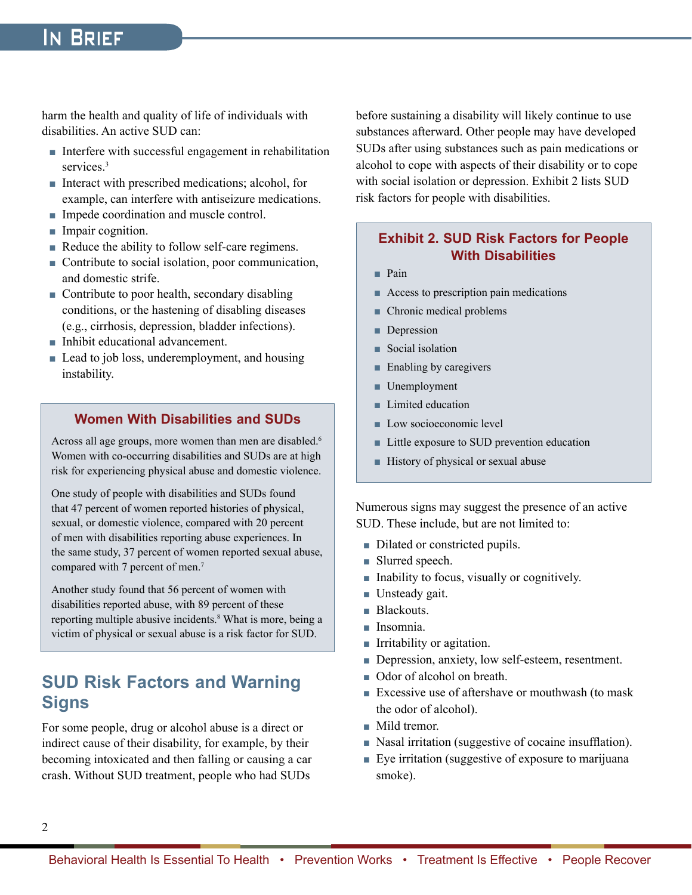# In Brief

harm the health and quality of life of individuals with disabilities. An active SUD can:

- Interfere with successful engagement in rehabilitation services.<sup>3</sup>
- Interact with prescribed medications; alcohol, for example, can interfere with antiseizure medications.
- Impede coordination and muscle control.
- Impair cognition.
- Reduce the ability to follow self-care regimens.
- $\blacksquare$  Contribute to social isolation, poor communication, and domestic strife.
- $\blacksquare$  Contribute to poor health, secondary disabling conditions, or the hastening of disabling diseases (e.g., cirrhosis, depression, bladder infections).
- Inhibit educational advancement.
- Lead to job loss, underemployment, and housing instability.

### **Women With Disabilities and SUDs**

Across all age groups, more women than men are disabled.<sup>6</sup> Women with co-occurring disabilities and SUDs are at high risk for experiencing physical abuse and domestic violence.

One study of people with disabilities and SUDs found that 47 percent of women reported histories of physical, sexual, or domestic violence, compared with 20 percent of men with disabilities reporting abuse experiences. In the same study, 37 percent of women reported sexual abuse, compared with 7 percent of men.<sup>7</sup>

Another study found that 56 percent of women with disabilities reported abuse, with 89 percent of these reporting multiple abusive incidents.<sup>8</sup> What is more, being a victim of physical or sexual abuse is a risk factor for SUD.

# **SUD Risk Factors and Warning Signs**

For some people, drug or alcohol abuse is a direct or indirect cause of their disability, for example, by their becoming intoxicated and then falling or causing a car crash. Without SUD treatment, people who had SUDs

before sustaining a disability will likely continue to use substances afterward. Other people may have developed SUDs after using substances such as pain medications or alcohol to cope with aspects of their disability or to cope with social isolation or depression. Exhibit 2 lists SUD risk factors for people with disabilities.

### **Exhibit 2. SUD Risk Factors for People With Disabilities**

- Pain
- Access to prescription pain medications
- Chronic medical problems
- Depression
- Social isolation
- Enabling by caregivers
- Unemployment
- Limited education
- Low socioeconomic level
- Little exposure to SUD prevention education
- History of physical or sexual abuse

Numerous signs may suggest the presence of an active SUD. These include, but are not limited to:

- Dilated or constricted pupils.
- Slurred speech.
- Inability to focus, visually or cognitively.
- Unsteady gait.
- **Blackouts.**
- Insomnia.
- Irritability or agitation.
- Depression, anxiety, low self-esteem, resentment.
- Odor of alcohol on breath.
- Excessive use of aftershave or mouthwash (to mask the odor of alcohol).
- Mild tremor.
- Nasal irritation (suggestive of cocaine insufflation).
- Eye irritation (suggestive of exposure to marijuana smoke).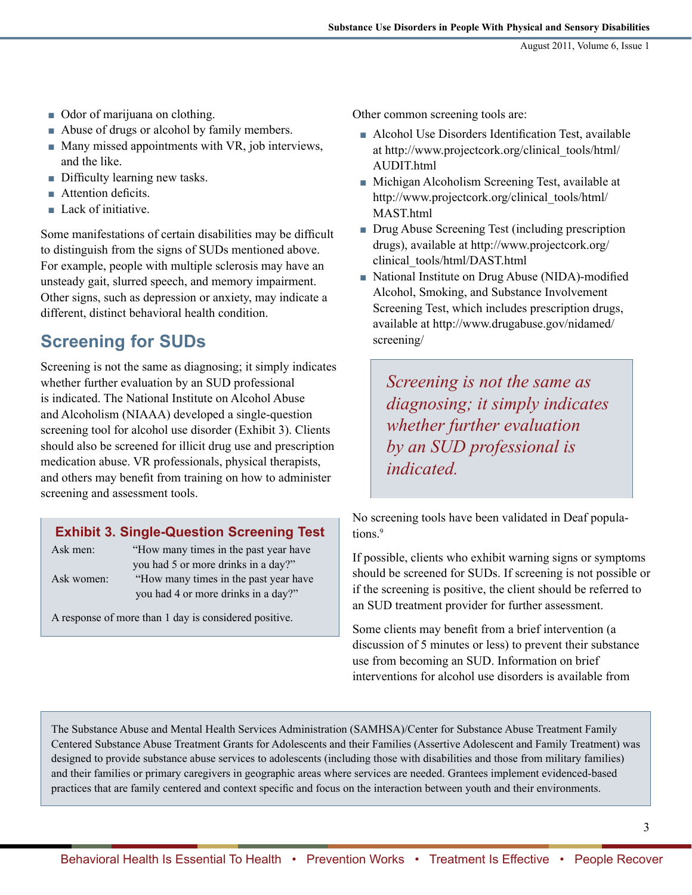- Odor of marijuana on clothing.
- Abuse of drugs or alcohol by family members.
- Many missed appointments with VR, job interviews, and the like.
- Difficulty learning new tasks.
- Attention deficits.
- Lack of initiative.

Some manifestations of certain disabilities may be difficult to distinguish from the signs of SUDs mentioned above. For example, people with multiple sclerosis may have an unsteady gait, slurred speech, and memory impairment. Other signs, such as depression or anxiety, may indicate a different, distinct behavioral health condition.

# **Screening for SUDs**

Screening is not the same as diagnosing; it simply indicates whether further evaluation by an SUD professional is indicated. The National Institute on Alcohol Abuse and Alcoholism (NIAAA) developed a single-question screening tool for alcohol use disorder (Exhibit 3). Clients should also be screened for illicit drug use and prescription medication abuse. VR professionals, physical therapists, and others may benefit from training on how to administer screening and assessment tools.

### **Exhibit 3. Single-Question Screening Test**

Ask men: "How many times in the past year have you had 5 or more drinks in a day?" Ask women: "How many times in the past year have you had 4 or more drinks in a day?"

A response of more than 1 day is considered positive.

Other common screening tools are:

- Alcohol Use Disorders Identification Test, available at http://www.projectcork.org/clinical\_tools/html/ AUDIT.html
- Michigan Alcoholism Screening Test, available at http://www.projectcork.org/clinical\_tools/html/ MAST.html
- Drug Abuse Screening Test (including prescription drugs), available at http://www.projectcork.org/ clinical\_tools/html/DAST.html
- National Institute on Drug Abuse (NIDA)-modified Alcohol, Smoking, and Substance Involvement Screening Test, which includes prescription drugs, available at http://www.drugabuse.gov/nidamed/ screening/

*Screening is not the same as diagnosing; it simply indicates whether further evaluation by an SUD professional is indicated.* 

No screening tools have been validated in Deaf populations.<sup>9</sup>

If possible, clients who exhibit warning signs or symptoms should be screened for SUDs. If screening is not possible or if the screening is positive, the client should be referred to an SUD treatment provider for further assessment.

Some clients may benefit from a brief intervention (a discussion of 5 minutes or less) to prevent their substance use from becoming an SUD. Information on brief interventions for alcohol use disorders is available from

The Substance Abuse and Mental Health Services Administration (SAMHSA)/Center for Substance Abuse Treatment Family Centered Substance Abuse Treatment Grants for Adolescents and their Families (Assertive Adolescent and Family Treatment) was designed to provide substance abuse services to adolescents (including those with disabilities and those from military families) and their families or primary caregivers in geographic areas where services are needed. Grantees implement evidenced-based practices that are family centered and context specific and focus on the interaction between youth and their environments.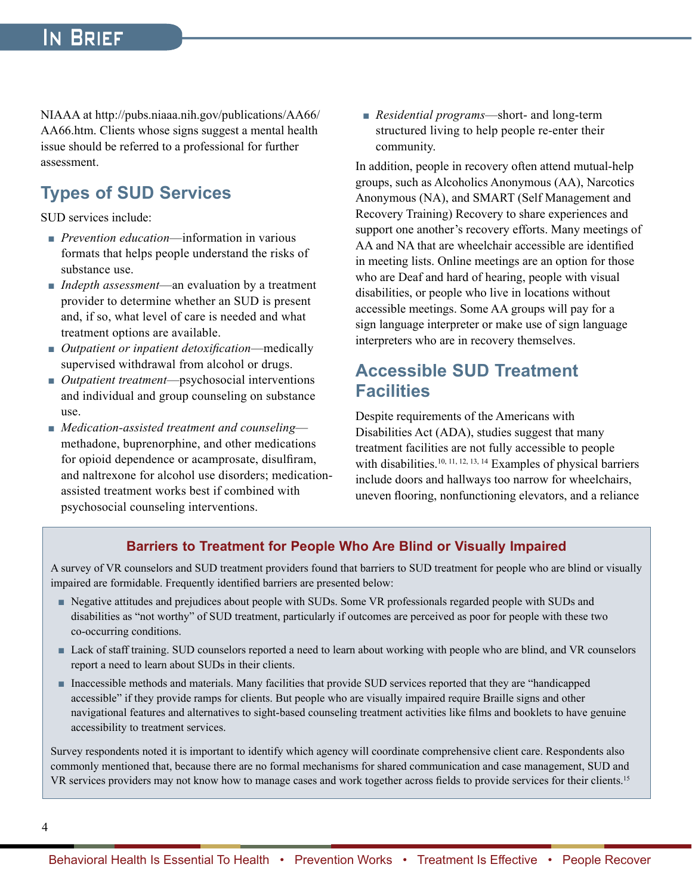NIAAA at http://pubs.niaaa.nih.gov/publications/AA66/ AA66.htm. Clients whose signs suggest a mental health issue should be referred to a professional for further assessment.

# **Types of SUD Services**

SUD services include:

- *Prevention education*—information in various formats that helps people understand the risks of substance use.
- *Indepth assessment*—an evaluation by a treatment provider to determine whether an SUD is present and, if so, what level of care is needed and what treatment options are available.
- *Outpatient or inpatient detoxification*—medically supervised withdrawal from alcohol or drugs.
- *Outpatient treatment*—psychosocial interventions and individual and group counseling on substance use.
- *Medication-assisted treatment and counseling* methadone, buprenorphine, and other medications for opioid dependence or acamprosate, disulfiram, and naltrexone for alcohol use disorders; medicationassisted treatment works best if combined with psychosocial counseling interventions.

■ *Residential programs*—short- and long-term structured living to help people re-enter their community.

In addition, people in recovery often attend mutual-help groups, such as Alcoholics Anonymous (AA), Narcotics Anonymous (NA), and SMART (Self Management and Recovery Training) Recovery to share experiences and support one another's recovery efforts. Many meetings of AA and NA that are wheelchair accessible are identified in meeting lists. Online meetings are an option for those who are Deaf and hard of hearing, people with visual disabilities, or people who live in locations without accessible meetings. Some AA groups will pay for a sign language interpreter or make use of sign language interpreters who are in recovery themselves.

# **Accessible SUD Treatment Facilities**

Despite requirements of the Americans with Disabilities Act (ADA), studies suggest that many treatment facilities are not fully accessible to people with disabilities.<sup>10, 11, 12, 13, 14</sup> Examples of physical barriers include doors and hallways too narrow for wheelchairs, uneven flooring, nonfunctioning elevators, and a reliance

### **Barriers to Treatment for People Who Are Blind or Visually Impaired**

A survey of VR counselors and SUD treatment providers found that barriers to SUD treatment for people who are blind or visually impaired are formidable. Frequently identified barriers are presented below:

- Negative attitudes and prejudices about people with SUDs. Some VR professionals regarded people with SUDs and disabilities as "not worthy" of SUD treatment, particularly if outcomes are perceived as poor for people with these two co-occurring conditions.
- Lack of staff training. SUD counselors reported a need to learn about working with people who are blind, and VR counselors report a need to learn about SUDs in their clients.
- Inaccessible methods and materials. Many facilities that provide SUD services reported that they are "handicapped accessible" if they provide ramps for clients. But people who are visually impaired require Braille signs and other navigational features and alternatives to sight-based counseling treatment activities like films and booklets to have genuine accessibility to treatment services.

Survey respondents noted it is important to identify which agency will coordinate comprehensive client care. Respondents also commonly mentioned that, because there are no formal mechanisms for shared communication and case management, SUD and VR services providers may not know how to manage cases and work together across fields to provide services for their clients.<sup>15</sup>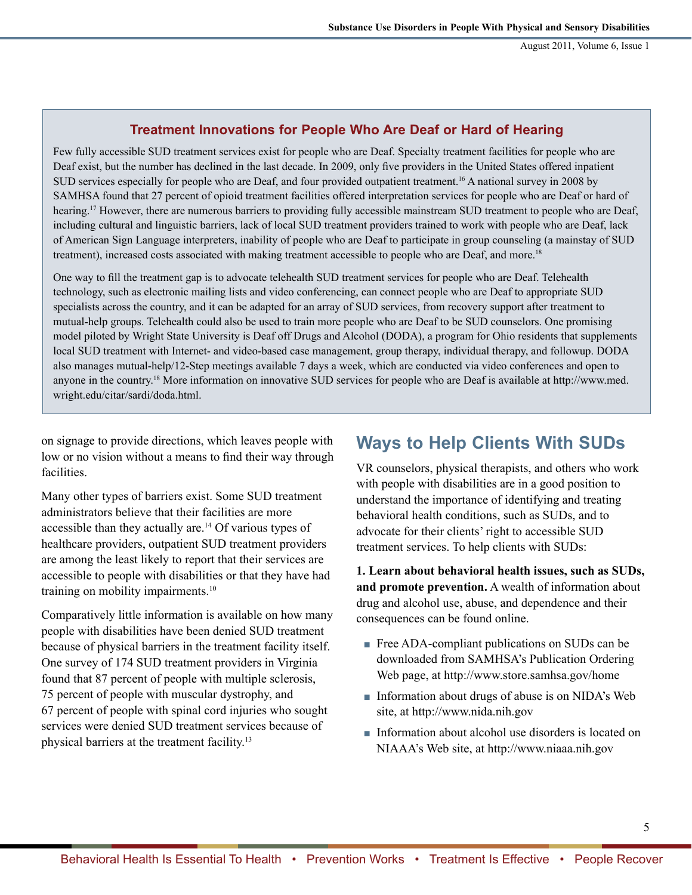### **Treatment Innovations for People Who Are Deaf or Hard of Hearing**

Few fully accessible SUD treatment services exist for people who are Deaf. Specialty treatment facilities for people who are Deaf exist, but the number has declined in the last decade. In 2009, only five providers in the United States offered inpatient SUD services especially for people who are Deaf, and four provided outpatient treatment.16 A national survey in 2008 by SAMHSA found that 27 percent of opioid treatment facilities offered interpretation services for people who are Deaf or hard of hearing.<sup>17</sup> However, there are numerous barriers to providing fully accessible mainstream SUD treatment to people who are Deaf, including cultural and linguistic barriers, lack of local SUD treatment providers trained to work with people who are Deaf, lack of American Sign Language interpreters, inability of people who are Deaf to participate in group counseling (a mainstay of SUD treatment), increased costs associated with making treatment accessible to people who are Deaf, and more.<sup>18</sup>

One way to fill the treatment gap is to advocate telehealth SUD treatment services for people who are Deaf. Telehealth technology, such as electronic mailing lists and video conferencing, can connect people who are Deaf to appropriate SUD specialists across the country, and it can be adapted for an array of SUD services, from recovery support after treatment to mutual-help groups. Telehealth could also be used to train more people who are Deaf to be SUD counselors. One promising model piloted by Wright State University is Deaf off Drugs and Alcohol (DODA), a program for Ohio residents that supplements local SUD treatment with Internet- and video-based case management, group therapy, individual therapy, and followup. DODA also manages mutual-help/12-Step meetings available 7 days a week, which are conducted via video conferences and open to anyone in the country.18 More information on innovative SUD services for people who are Deaf is available at http://www.med. wright.edu/citar/sardi/doda.html.

on signage to provide directions, which leaves people with low or no vision without a means to find their way through facilities.

Many other types of barriers exist. Some SUD treatment administrators believe that their facilities are more accessible than they actually are.<sup>14</sup> Of various types of healthcare providers, outpatient SUD treatment providers are among the least likely to report that their services are accessible to people with disabilities or that they have had training on mobility impairments.<sup>10</sup>

Comparatively little information is available on how many people with disabilities have been denied SUD treatment because of physical barriers in the treatment facility itself. One survey of 174 SUD treatment providers in Virginia found that 87 percent of people with multiple sclerosis, 75 percent of people with muscular dystrophy, and 67 percent of people with spinal cord injuries who sought services were denied SUD treatment services because of physical barriers at the treatment facility.13

# **Ways to Help Clients With SUDs**

VR counselors, physical therapists, and others who work with people with disabilities are in a good position to understand the importance of identifying and treating behavioral health conditions, such as SUDs, and to advocate for their clients' right to accessible SUD treatment services. To help clients with SUDs:

**1. Learn about behavioral health issues, such as SUDs, and promote prevention.** A wealth of information about drug and alcohol use, abuse, and dependence and their consequences can be found online.

- Free ADA-compliant publications on SUDs can be downloaded from SAMHSA's Publication Ordering Web page, at http://www.store.samhsa.gov/home
- Information about drugs of abuse is on NIDA's Web site, at http://www.nida.nih.gov
- Information about alcohol use disorders is located on NIAAA's Web site, at http://www.niaaa.nih.gov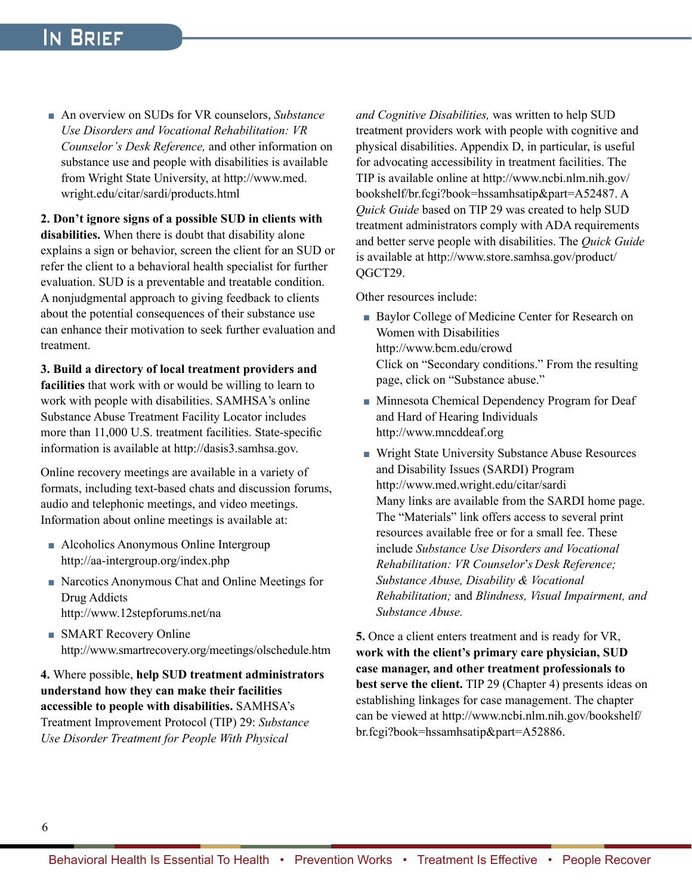# In Brief

■ An overview on SUDs for VR counselors, *Substance Use Disorders and Vocational Rehabilitation: VR Counselor's Desk Reference,* and other information on substance use and people with disabilities is available from Wright State University, at http://www.med. wright.edu/citar/sardi/products.html

**2. Don't ignore signs of a possible SUD in clients with disabilities.** When there is doubt that disability alone explains a sign or behavior, screen the client for an SUD or refer the client to a behavioral health specialist for further evaluation. SUD is a preventable and treatable condition. A nonjudgmental approach to giving feedback to clients about the potential consequences of their substance use can enhance their motivation to seek further evaluation and treatment.

### **3. Build a directory of local treatment providers and**

**facilities** that work with or would be willing to learn to work with people with disabilities. SAMHSA's online Substance Abuse Treatment Facility Locator includes more than 11,000 U.S. treatment facilities. State-specific information is available at http://dasis3.samhsa.gov.

Online recovery meetings are available in a variety of formats, including text-based chats and discussion forums, audio and telephonic meetings, and video meetings. Information about online meetings is available at:

- Alcoholics Anonymous Online Intergroup http://aa-intergroup.org/index.php
- Narcotics Anonymous Chat and Online Meetings for Drug Addicts http://www.12stepforums.net/na
- **SMART Recovery Online** http://www.smartrecovery.org/meetings/olschedule.htm

**4.** Where possible, **help SUD treatment administrators understand how they can make their facilities accessible to people with disabilities.** SAMHSA's Treatment Improvement Protocol (TIP) 29: *Substance Use Disorder Treatment for People With Physical* 

*and Cognitive Disabilities,* was written to help SUD treatment providers work with people with cognitive and physical disabilities. Appendix D, in particular, is useful for advocating accessibility in treatment facilities. The TIP is available online at http://www.ncbi.nlm.nih.gov/ bookshelf/br.fcgi?book=hssamhsatip&part=A52487. A *Quick Guide* based on TIP 29 was created to help SUD treatment administrators comply with ADA requirements and better serve people with disabilities. The *Quick Guide*  is available at http://www.store.samhsa.gov/product/ QGCT29.

Other resources include:

- Baylor College of Medicine Center for Research on Women with Disabilities http://www.bcm.edu/crowd Click on "Secondary conditions." From the resulting page, click on "Substance abuse."
- Minnesota Chemical Dependency Program for Deaf and Hard of Hearing Individuals http://www.mncddeaf.org
- Wright State University Substance Abuse Resources and Disability Issues (SARDI) Program http://www.med.wright.edu/citar/sardi Many links are available from the SARDI home page. The "Materials" link offers access to several print resources available free or for a small fee. These include *Substance Use Disorders and Vocational Rehabilitation: VR Counselor*'*s Desk Reference; Substance Abuse, Disability & Vocational Rehabilitation;* and *Blindness, Visual Impairment, and Substance Abuse.*

**5.** Once a client enters treatment and is ready for VR, **work with the client's primary care physician, SUD case manager, and other treatment professionals to best serve the client.** TIP 29 (Chapter 4) presents ideas on establishing linkages for case management. The chapter can be viewed at http://www.ncbi.nlm.nih.gov/bookshelf/ br.fcgi?book=hssamhsatip&part=A52886.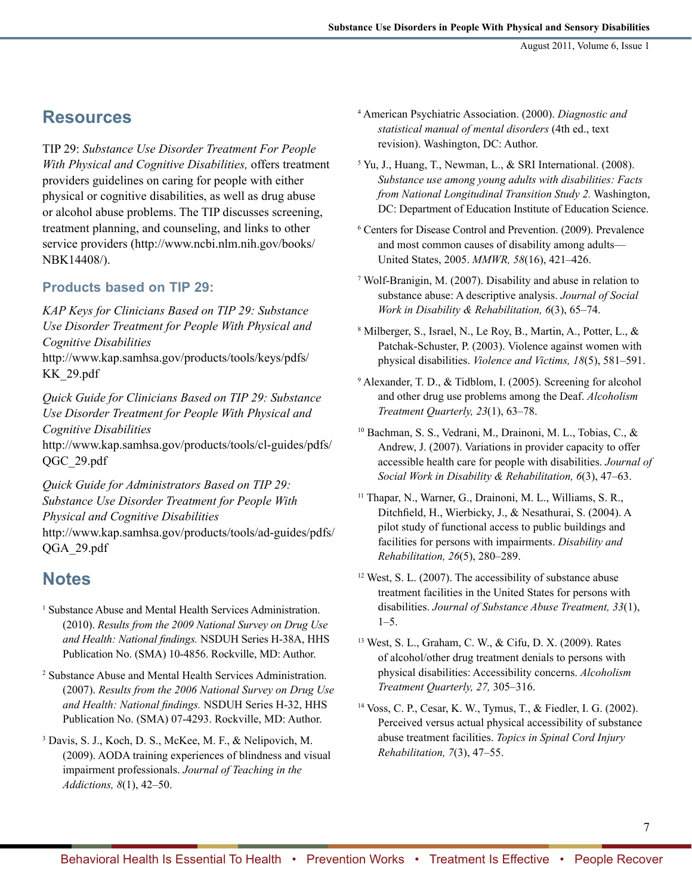### **Resources**

TIP 29: *Substance Use Disorder Treatment For People With Physical and Cognitive Disabilities,* offers treatment providers guidelines on caring for people with either physical or cognitive disabilities, as well as drug abuse or alcohol abuse problems. The TIP discusses screening, treatment planning, and counseling, and links to other service providers (http://www.ncbi.nlm.nih.gov/books/ NBK14408/).

### **Products based on TIP 29:**

*KAP Keys for Clinicians Based on TIP 29: Substance Use Disorder Treatment for People With Physical and Cognitive Disabilities*  http://www.kap.samhsa.gov/products/tools/keys/pdfs/ KK\_29.pdf

*Quick Guide for Clinicians Based on TIP 29: Substance Use Disorder Treatment for People With Physical and Cognitive Disabilities* 

http://www.kap.samhsa.gov/products/tools/cl-guides/pdfs/ QGC\_29.pdf

*Quick Guide for Administrators Based on TIP 29: Substance Use Disorder Treatment for People With Physical and Cognitive Disabilities* 

http://www.kap.samhsa.gov/products/tools/ad-guides/pdfs/ QGA\_29.pdf

## **Notes**

- <sup>1</sup> Substance Abuse and Mental Health Services Administration. (2010). *Results from the 2009 National Survey on Drug Use and Health: National findings.* NSDUH Series H-38A, HHS Publication No. (SMA) 10-4856. Rockville, MD: Author.
- 2 Substance Abuse and Mental Health Services Administration. (2007). *Results from the 2006 National Survey on Drug Use and Health: National findings.* NSDUH Series H-32, HHS Publication No. (SMA) 07-4293. Rockville, MD: Author.
- 3 Davis, S. J., Koch, D. S., McKee, M. F., & Nelipovich, M. (2009). AODA training experiences of blindness and visual impairment professionals. *Journal of Teaching in the Addictions, 8*(1), 42–50.
- <sup>4</sup>American Psychiatric Association. (2000). *Diagnostic and statistical manual of mental disorders* (4th ed., text revision). Washington, DC: Author.
- <sup>5</sup>Yu, J., Huang, T., Newman, L., & SRI International. (2008). *Substance use among young adults with disabilities: Facts from National Longitudinal Transition Study 2.* Washington, DC: Department of Education Institute of Education Science.
- 6 Centers for Disease Control and Prevention. (2009). Prevalence and most common causes of disability among adults— United States, 2005. *MMWR, 58*(16), 421–426.
- 7 Wolf-Branigin, M. (2007). Disability and abuse in relation to substance abuse: A descriptive analysis. *Journal of Social Work in Disability & Rehabilitation, 6*(3), 65–74.
- 8 Milberger, S., Israel, N., Le Roy, B., Martin, A., Potter, L., & Patchak-Schuster, P. (2003). Violence against women with physical disabilities. *Violence and Victims, 18*(5), 581–591.
- 9 Alexander, T. D., & Tidblom, I. (2005). Screening for alcohol and other drug use problems among the Deaf. *Alcoholism Treatment Quarterly, 23*(1), 63–78.
- <sup>10</sup> Bachman, S. S., Vedrani, M., Drainoni, M. L., Tobias, C., & Andrew, J. (2007). Variations in provider capacity to offer accessible health care for people with disabilities. *Journal of Social Work in Disability & Rehabilitation, 6*(3), 47–63.
- <sup>11</sup> Thapar, N., Warner, G., Drainoni, M. L., Williams, S. R., Ditchfield, H., Wierbicky, J., & Nesathurai, S. (2004). A pilot study of functional access to public buildings and facilities for persons with impairments. *Disability and Rehabilitation, 26*(5), 280–289.
- $12$  West, S. L. (2007). The accessibility of substance abuse treatment facilities in the United States for persons with disabilities. *Journal of Substance Abuse Treatment, 33*(1), 1–5.
- 13 West, S. L., Graham, C. W., & Cifu, D. X. (2009). Rates of alcohol/other drug treatment denials to persons with physical disabilities: Accessibility concerns. *Alcoholism Treatment Quarterly, 27,* 305–316.
- <sup>14</sup>Voss, C. P., Cesar, K. W., Tymus, T., & Fiedler, I. G. (2002). Perceived versus actual physical accessibility of substance abuse treatment facilities. *Topics in Spinal Cord Injury Rehabilitation, 7*(3), 47–55.